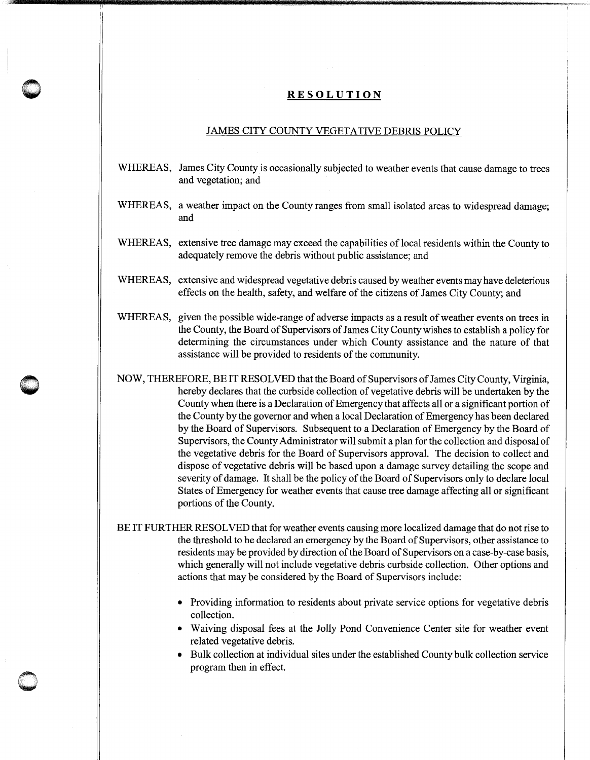## **RESOLUTION**

**0** '

 $\subset$   $\qquad$ ·. I **\** 

## JAMES CITY COUNTY VEGETATIVE DEBRIS POLICY

- WHEREAS, James City County is occasionally subjected to weather events that cause damage to trees and vegetation; and
- WHEREAS, a weather impact on the County ranges from small isolated areas to widespread damage; and
- WHEREAS, extensive tree damage may exceed the capabilities of local residents within the County to adequately remove the debris without public assistance; and
- WHEREAS, extensive and widespread vegetative debris caused by weather events may have deleterious effects on the health, safety, and welfare of the citizens of James City County; and
- WHEREAS, given the possible wide-range of adverse impacts as a result of weather events on trees in the County, the Board of Supervisors of James City County wishes to establish a policy for determining the circumstances under which County assistance and the nature of that assistance will be provided to residents of the community.
- NOW, THEREFORE, BE IT RESOLVED that the Board of Supervisors of James City County, Virginia, hereby declares that the curbside collection of vegetative debris will be undertaken by the County when there is a Declaration of Emergency that affects all or a significant portion of the County by the governor and when a local Declaration of Emergency has been declared by the Board of Supervisors. Subsequent to a Declaration of Emergency by the Board of Supervisors, the County Administrator will submit a plan for the collection and disposal of the vegetative debris for the Board of Supervisors approval. The decision to collect and dispose of vegetative debris will be based upon a damage survey detailing the scope and severity of damage. It shall be the policy of the Board of Supervisors only to declare local States of Emergency for weather events that cause tree damage affecting all or significant portions of the County.

BE IT FURTHER RESOLVED that for weather events causing more localized damage that do not rise to the threshold to be declared an emergency by the Board of Supervisors, other assistance to residents may be provided by direction of the Board of Supervisors on a case-by-case basis, which generally will not include vegetative debris curbside collection. Other options and actions that may be considered by the Board of Supervisors include:

- Providing information to residents about private service options for vegetative debris collection.
- Waiving disposal fees at the Jolly Pond Convenience Center site for weather event related vegetative debris.
- Bulk collection at individual sites under the established County bulk collection service program then in effect.